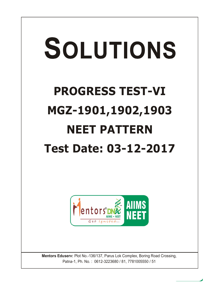# SOLUTIONS **PROGRESS TEST-VI MGZ-1901,1902,1903 NEET PATTERN Test Date: 03-12-2017**



**Mentors Eduserv:** Plot No.-136/137, Parus Lok Complex, Boring Road Crossing, Patna-1, Ph. No. : 0612-3223680 / 81, 7781005550 / 51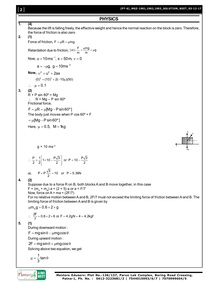# [ **2** ]

**PHYSICS 1. (4)** Because the lift is falling freely, the effective weight and hence the normal reaction on the block is zero. Therefore, the force of friction is also zero **2. (1)** Force of friction,  $F = \mu R = \mu mg$ Retardation due to friction,  $|a| = \frac{F}{m} = \frac{\mu mg}{m} = \mu g$  $=\frac{F}{\phantom{1}}=\frac{\mu mg}{\mu g}=\mu g$ Now,  $u = 10 \text{ ms}^{-1}$ ,  $s = 50 \text{ m}$ ,  $v = 0$  $a = -\mu g$ ,  $g = 10$ ms<sup>-2</sup> **Now,**  $v^2 = u^2 + 2as$  $(0)^2 = (10)^2 + 2(-10\mu)(50)$  $\therefore$   $\mu = 0.1$ **3. (2)**  $R + P \sin 60^\circ = Mg$  $R = Mg - P \sin 60^\circ$ Frictional force,  $F = \mu R = \mu [Mg - P \sin 60^\circ]$ The body just moves when P cos  $60^\circ$  = F  $= \mu$ [Mg - P sin 60°] Here,  $\mu = 0.5$ , M = 1kg  $q = 10$  ms<sup>-2</sup> 60º R P F Mg  $\frac{P}{2} = \frac{1}{2} \left| 1 \times 10 - \frac{P\sqrt{3}}{2} \right|$  or P = 10  $-\frac{P\sqrt{3}}{2}$  $\therefore \frac{P}{2} = \frac{1}{2} \left[ 1 \times 10 - \frac{P\sqrt{3}}{2} \right]$  or P = 10 or,  $P + P\frac{\sqrt{3}}{2} = 10$  or  $P = 5.36N$ **4. (2)** Suppose due to a force R on B, both blocks A and B move together, in this case  $F = (m_{A} + m_{B}) a = (2 + 5) a$  or a = F/7 Now, force on  $A = ma = (2F/7)$ For no relative motion between A and B, 2F/7 must not exceed the limiting force of friction between A and B. The limiting force of friction between A and B is given by  $\mu m_{\rm A} g = 0.6 \times 2 \times g$  $\therefore \frac{2F}{7} = 0.6 \times 2 \times 6$  or F = 4.2gN = 4 = 4.2kgf **5. (1)** During downward motion :  $F = mg\sin\theta - \mu mg\cos\theta$ During upward motion :  $2F = mg\sin\theta + \mu mg\cos\theta$ Solving above two equation, we get 1<br>– tan 3  $\mu = \frac{1}{2} \tan \theta$ 

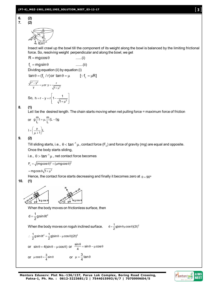$$
\begin{array}{c}\n\hline\n\uparrow \\
\hline\n\uparrow \\
\hline\n\uparrow \\
\hline\n\uparrow \\
\hline\n\uparrow \\
\hline\n\uparrow \\
\hline\n\uparrow \\
\hline\n\uparrow \\
\hline\n\downarrow \\
\hline\n\downarrow \\
\hline\n\downarrow \\
\hline\n\downarrow \\
\hline\n\downarrow \\
\hline\n\downarrow \\
\hline\n\downarrow \\
\hline\n\downarrow \\
\hline\n\downarrow \\
\hline\n\downarrow \\
\hline\n\downarrow \\
\hline\n\downarrow \\
\hline\n\downarrow \\
\hline\n\downarrow \\
\hline\n\downarrow \\
\hline\n\downarrow \\
\hline\n\downarrow \\
\hline\n\downarrow \\
\hline\n\downarrow \\
\hline\n\downarrow \\
\hline\n\downarrow \\
\hline\n\downarrow \\
\hline\n\downarrow \\
\hline\n\downarrow \\
\hline\n\downarrow \\
\hline\n\downarrow \\
\hline\n\downarrow \\
\hline\n\downarrow \\
\hline\n\downarrow \\
\hline\n\downarrow \\
\hline\n\downarrow \\
\hline\n\downarrow \\
\hline\n\downarrow \\
\hline\n\downarrow \\
\hline\n\downarrow \\
\hline\n\downarrow \\
\hline\n\downarrow \\
\hline\n\downarrow \\
\hline\n\downarrow \\
\hline\n\downarrow \\
\hline\n\downarrow \\
\hline\n\downarrow \\
\hline\n\downarrow \\
\hline\n\downarrow \\
\hline\n\downarrow \\
\hline\n\downarrow \\
\hline\n\downarrow \\
\hline\n\downarrow \\
\hline\n\downarrow \\
\hline\n\downarrow \\
\hline\n\downarrow \\
\hline\n\downarrow \\
\hline\n\downarrow \\
\hline\n\downarrow \\
\hline\n\downarrow \\
\hline\n\downarrow \\
\hline\n\downarrow \\
\hline\n\downarrow \\
\hline\n\downarrow \\
\hline\n\downarrow \\
\hline\n\downarrow \\
\hline\n\downarrow \\
\hline\n\downarrow \\
\hline\n\downarrow \\
\hline\n\downarrow \\
\hline\n\downarrow \\
\hline\n\downarrow \\
\hline\n\downarrow \\
\hline\n\downarrow \\
\hline\n\downarrow \\
\hline\n\downarrow \\
\hline\n\downarrow \\
\hline\n\downarrow \\
\hline\n\downarrow \\
\hline\n\downarrow \\
\hline\n\downarrow \\
\hline\n\downarrow \\
\hline\n\downarrow \\
\hline\n\downarrow \\
\hline\n\downarrow \\
\hline\n\downarrow \\
\hline\n\downarrow \\
\hline\n\downarrow \\
\hline\n\downarrow \\
\hline\n\downarrow \\
\hline\n\downarrow \\
$$

Insect will crawl up the bowl till the component of its weight along the bowl is balanced by the limiting frictional force. So, resolving weight perpendicular and along the bowl, we get

$$
R = mg\cos\theta
$$
 ......( i)  
\n
$$
f_L = mg\sin\theta
$$
 ......( ii)  
\nDividing equation (ii) by equation (i)

$$
tan \theta = (f_{L} / r) or tan \theta = \mu \qquad [::f_{L} = \mu R]
$$

$$
\frac{\sqrt{r^2 - y^2}}{y} = \mu \text{ or } y = \frac{r}{\sqrt{1 + \mu^2}}
$$
  
So,  $h = r - y = r \left[ 1 - \frac{1}{\sqrt{1 + \mu^2}} \right]$ 

# **8. (1)**

Let I be the desired length. The chain starts moving when net pulling force = maximum force of friction

or 
$$
g\frac{m}{L}I = \mu \cdot \frac{m}{L}(L-I)g
$$

$$
I = \left(\frac{\mu}{\mu + 1}\right)L
$$

# **9. (2)**

Till sliding starts, i.e.,  $\,\theta$   $<$  tan $^{-1}$   $\mu$  , contact force (F $_{\rm c}$ ) and force of gravity (mg) are equal and opposite. Once the body starts sliding,

i.e.,  $\, \theta >$  tan $^{-1} \, \mu$  , net contact force becomes

$$
F_c = \sqrt{(mg\cos\theta)^2 + (\mu mg\cos\theta)^2}
$$

 $=$  mgcos $\theta\sqrt{1+\mu^2}$ 

Hence, the contact force starts decreasing and finally it becomes zero at  $\theta = 90^{\circ}$ 

**10. (1)**



When the body moves on frictionless surface, then

$$
d=\frac{1}{2}g\,sin\theta t^2
$$

When the body moves on roguh inclined surface.  $d = \frac{1}{2}$ g(sin $\theta \mu \cos \theta$ )(2t)<sup>2</sup>

$$
\therefore \frac{1}{2}g\sin\theta t^2 = \frac{1}{2}g(\sin\theta - \mu\cos\theta)(2t)^2
$$
  
or  $\sin\theta = 4(\sin\theta - \mu\cos\theta)$  or  $\frac{\sin\theta}{4} = \sin\theta - \mu\cos\theta$   
or  $\mu\cos\theta = \frac{3}{4}\sin\theta$  or  $\mu = \frac{3}{4}\tan\theta$ 

## **Mentors DNA** NEET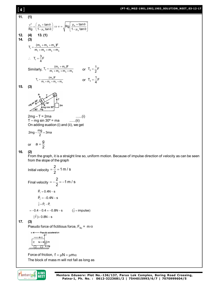### **(PT-6)\_MGZ-1901,1902,1903\_SOLUTION\_NEET\_03-12-17**

11. (1)  
\n
$$
\frac{v^2}{Rg} = \left(\frac{\mu_x + \tan\theta}{1-\mu_x \tan\theta}\right) \Rightarrow v = \sqrt{Rg} \left[\frac{\mu_x + \tan\theta}{1-\mu_x \tan\theta}\right]
$$
\n12. (4) 13. (1)  
\n14. (3)  
\n
$$
T_x = \frac{(\frac{m_x + m_x + m_x)F}{4}}{m_x + m_y + m_x + m_x}
$$
\n
$$
\therefore T_y = \frac{3}{4}F
$$
\nSimilarly,  $T_z = \frac{(m_y + m_y)F}{m_y + m_y + m_y + m_x}$  or  $T_z = \frac{1}{2}F$   
\n
$$
T_z = \frac{(\frac{m_y F}{m_y + m_y + m_y + m_x})}{m_y + m_y + m_x}
$$
 or  $T_z = \frac{1}{4}F$   
\n15. (3)  
\n
$$
\frac{P}{\cos\theta} = \frac{P}{\cos\theta} = \frac{P}{\cos\theta} = \frac{P}{\cos\theta}
$$
\n
$$
\frac{2m_g - T = 2m}{\sin\theta} = 3m_g
$$
\n
$$
\frac{P}{\cos\theta} = \frac{P}{2}
$$
\n16. (2)  
\nFrom the graph, it is a straight line so, uniform motion. Because of impulse direction of velocity as can be seen from the slope of the graph  
\nInitial velocity  $= \frac{2}{2} = 1$  m/s  
\nFind velocity  $= -\frac{2}{2} = -1$  m/s  
\n $\vec{P}_1 = 0.4N - s$   
\n $\vec{P}_1 = -0.4 - 0.8N - s$   
\n $\vec{P}_1 = -0.4 - 0.8N - s$   
\n $\vec{P}_1 = -0.4 - 0.8N - s$   
\n $\vec{P}_1 = 0.8N - s$   
\n $\vec{P}_1 = 0.8N - s$   
\n $\vec{P}_1 = 0.8N - s$   
\n $\vec{P}_2 = 0.8N - s$   
\n $\vec{P}_1 = 0.8N - s$   
\n $\vec{P}_2 = 0.8N - s$   
\n $\vec{P}_1 = 0.8N - s$   
\n $\vec{P}_2$ 

**17. (3)**

Pseudo force of fictitious force,  $F_{\text{fic}} = m \alpha$ 

Pseudo acceleration  $\alpha$  $\alpha$ ⋥m  $\mathtt{c}$  $N \overrightarrow{m}$ 

Force of friction,  $f = \mu N = \mu m \alpha$ The block of mass m will not fall as long as

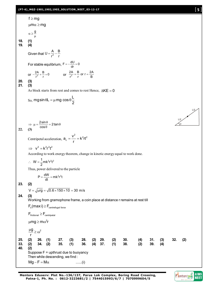# **(PT-6)\_MGZ-1901,1902,1903\_SOLUTION\_NEET\_03-12-17** [ **5** ]

f ≥ mg  
\nµmα ≥ mg  
\n
$$
\alpha \ge \frac{9}{\mu}
$$
  
\n19. (4)  
\nGiven that  $U = \frac{A}{r^2} - \frac{B}{r}$   
\nFor stable equilibrium,  $F = -\frac{dU}{dr} = 0$   
\nor  $-\frac{2A}{r^2} + \frac{B}{r} = 0$  or  $\frac{2A}{r^2} - \frac{B}{r} = 0$  or  $-\frac{2A}{r^2} - \frac{B}{r}$   
\n20. (3)  
\nAs block starts from rest and comes to rest Hence,  $AKE = 0$   
\nSo,  $mg \sin \theta L = \mu mg \cos \theta \frac{L}{2}$   
\n $\Rightarrow \mu = \frac{2 \sin \theta}{\cos \theta} - 2 \tan \theta$   
\nCentripetal acceleration,  $\theta_c = \frac{v^2}{r} = k^2rt^2$   
\nAccording to work energy theorem, change in kinetic energy equal to work done.  
\n $\therefore W = \frac{1}{2} m k^2 r^2 t^2$   
\nHence,  $P = \frac{dW}{dt} = m k^2 r^2 t$   
\n23. (2)  
\n $V = \sqrt{\mu r g} = \sqrt{0.6 \times 150 \times 10} = 30$  m/s  
\n24. (3)  
\n $V = \sqrt{\mu r g} = \sqrt{0.6 \times 150 \times 10} = 30$  m/s  
\n24. (3)  
\n $V = \sqrt{\mu r g} = \sqrt{0.6 \times 150 \times 10} = 30$  m/s  
\n25. (4)  
\n $\frac{V \sin \theta}{V}$  =  $\frac{V}{V}$   
\n $\frac{V \sin \theta}{V}$  =  $\frac{V}{V}$   
\n $\frac{V \sin \theta}{V}$  =  $\frac{V}{V}$   
\n $\frac{V \sin \theta}{V}$  =  $\frac{V}{V}$   
\n $\frac{V \sin \theta}{V}$  =  $\frac{V}{V}$   
\n $\frac{V \sin \theta}{V}$  =  $\frac{V}{V}$   
\n $\frac{V}{V}$  =  $\frac{V}{V}$   
\n $\frac{V}{V$ 

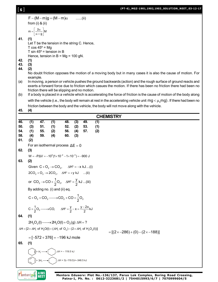| [6]                             |                                                                                                                                                                                                                                                                                     |                                                |                                |                                                                                                                                                                                |                          |                   |                   | (PT-6)_MGZ-1901,1902,1903_SOLUTION_NEET_03-12-1                                                                               |  |  |  |  |  |  |
|---------------------------------|-------------------------------------------------------------------------------------------------------------------------------------------------------------------------------------------------------------------------------------------------------------------------------------|------------------------------------------------|--------------------------------|--------------------------------------------------------------------------------------------------------------------------------------------------------------------------------|--------------------------|-------------------|-------------------|-------------------------------------------------------------------------------------------------------------------------------|--|--|--|--|--|--|
|                                 |                                                                                                                                                                                                                                                                                     | from $(i)$ & $(ii)$                            | $F - (M - m)g = (M - m)\alpha$ |                                                                                                                                                                                |                          | $\ldots$ (ii)     |                   |                                                                                                                               |  |  |  |  |  |  |
|                                 |                                                                                                                                                                                                                                                                                     | $m = \left[\frac{2\alpha}{\alpha + g}\right]M$ |                                |                                                                                                                                                                                |                          |                   |                   |                                                                                                                               |  |  |  |  |  |  |
| 41.                             | (1)<br>Let T be the tension in the string C. Hence,<br>T $cos 45^\circ$ = Mg<br>T sin $45^\circ$ = tension in B<br>Hence, tension in $B = Mg = 100 gN$ .                                                                                                                            |                                                |                                |                                                                                                                                                                                |                          |                   |                   |                                                                                                                               |  |  |  |  |  |  |
| 42.<br>43.<br>44.               | (1)<br>(3)<br>(2)                                                                                                                                                                                                                                                                   |                                                |                                |                                                                                                                                                                                |                          |                   |                   |                                                                                                                               |  |  |  |  |  |  |
|                                 | example.                                                                                                                                                                                                                                                                            |                                                |                                |                                                                                                                                                                                |                          |                   |                   | No doubt friction opposes the motion of a moving body but in many cases it is also the cause of motion. For                   |  |  |  |  |  |  |
| (a)                             | In moving, a person or vehicle pushes the ground backwards (action) and the rough surface of ground reacts and<br>exerts a forward force due to friction which casues the motion. If there has been no friction there had been no<br>friction there will be slipping and no motion. |                                                |                                |                                                                                                                                                                                |                          |                   |                   |                                                                                                                               |  |  |  |  |  |  |
| (b)                             |                                                                                                                                                                                                                                                                                     |                                                |                                |                                                                                                                                                                                |                          |                   |                   | If a body is placed in a vehicle which is accelerating the force of friction is the cause of motion of the body along         |  |  |  |  |  |  |
|                                 |                                                                                                                                                                                                                                                                                     |                                                |                                |                                                                                                                                                                                |                          |                   |                   | with the vehicle (i.e., the body will remain at rest in the accelerating vehicle unit $mg < \mu_s mg$ ). If there had been no |  |  |  |  |  |  |
| 45.                             | (4)                                                                                                                                                                                                                                                                                 |                                                |                                |                                                                                                                                                                                |                          |                   |                   | friction between the body and the vehicle, the body will not move along with the vehicle.                                     |  |  |  |  |  |  |
|                                 |                                                                                                                                                                                                                                                                                     |                                                |                                |                                                                                                                                                                                |                          |                   |                   | <b>CHEMISTRY</b>                                                                                                              |  |  |  |  |  |  |
| 46.<br>50.<br>54.<br>58.<br>61. | (1)<br>(3)<br>(1)<br>(4)<br>(2)                                                                                                                                                                                                                                                     | 47.<br>51.<br>55.<br>59.                       | (1)<br>(1)<br>(2)<br>(4)       | 48.<br>52.<br>56.<br>60.                                                                                                                                                       | (3)<br>(2)<br>(4)<br>(3) | 49.<br>53.<br>57. | (1)<br>(1)<br>(2) |                                                                                                                               |  |  |  |  |  |  |
| 62.                             | (3)                                                                                                                                                                                                                                                                                 |                                                |                                | For an isothermal process $\Delta E = 0$                                                                                                                                       |                          |                   |                   |                                                                                                                               |  |  |  |  |  |  |
| 63.                             | (2)                                                                                                                                                                                                                                                                                 |                                                |                                | $W = -P\Delta V = -10^5(1 \times 10^{-2} - 1 \times 10^{-3}) = -900$ J                                                                                                         |                          |                   |                   |                                                                                                                               |  |  |  |  |  |  |
|                                 |                                                                                                                                                                                                                                                                                     |                                                |                                | Given $C + O_2 \rightarrow CO_2$ , $\Delta H^{\circ} = -x kJ$ (i)                                                                                                              |                          |                   |                   |                                                                                                                               |  |  |  |  |  |  |
|                                 |                                                                                                                                                                                                                                                                                     |                                                |                                | $2CO_2 + O_2 \rightarrow 2CO_2$ , $\Delta H^{\circ} = +y kJ$ (ii)                                                                                                              |                          |                   |                   |                                                                                                                               |  |  |  |  |  |  |
|                                 |                                                                                                                                                                                                                                                                                     |                                                |                                | or $CO_2 \rightarrow CO + \frac{1}{2}O_2$ , $\Delta H^{\circ} = \frac{y}{2}$ kJ (iii)                                                                                          |                          |                   |                   |                                                                                                                               |  |  |  |  |  |  |
|                                 |                                                                                                                                                                                                                                                                                     |                                                | By adding no. (i) and (ii) eq. |                                                                                                                                                                                |                          |                   |                   |                                                                                                                               |  |  |  |  |  |  |
|                                 |                                                                                                                                                                                                                                                                                     |                                                |                                | $C+O_2+CO_2 \longrightarrow CO_2+CO+\frac{1}{2}O_2$                                                                                                                            |                          |                   |                   |                                                                                                                               |  |  |  |  |  |  |
|                                 |                                                                                                                                                                                                                                                                                     |                                                |                                | $C + \frac{1}{2}O_2 \longrightarrow CO$ , $\Delta H^{\circ} = \frac{y}{2} - x = \frac{y - 2x}{2} kJ$                                                                           |                          |                   |                   |                                                                                                                               |  |  |  |  |  |  |
| 64.                             | (1)                                                                                                                                                                                                                                                                                 |                                                |                                |                                                                                                                                                                                |                          |                   |                   |                                                                                                                               |  |  |  |  |  |  |
|                                 |                                                                                                                                                                                                                                                                                     |                                                |                                | $2H_2O_2(I) \longrightarrow 2H_2O(I) + O_2(g) \Delta H = ?$<br>$\Delta H = [2 \times \Delta H_f$ of $H_2O(I) + (\Delta H_f$ of $O_2) - (2 \times \Delta H_f$ of $H_2O_2(I))$ ] |                          |                   |                   |                                                                                                                               |  |  |  |  |  |  |
|                                 |                                                                                                                                                                                                                                                                                     |                                                |                                | $= [-572 + 376] = -196$ kJ mole                                                                                                                                                |                          |                   |                   | $=[(2 \times -286)+(0)-(2 \times -188)]$                                                                                      |  |  |  |  |  |  |
| 65.                             | (1)                                                                                                                                                                                                                                                                                 |                                                |                                |                                                                                                                                                                                |                          |                   |                   |                                                                                                                               |  |  |  |  |  |  |
|                                 |                                                                                                                                                                                                                                                                                     |                                                |                                | $\bigcup + H_2 \longrightarrow \bigcup$ ; $\triangle H = -119.5$ kJ                                                                                                            |                          |                   |                   |                                                                                                                               |  |  |  |  |  |  |



 $\left(\begin{array}{c} \searrow \\ \searrow \end{array}\right)$  + 3H<sub>2</sub>-

 $; \Delta H = 3(-119.5) = -348.5 \text{ kJ}$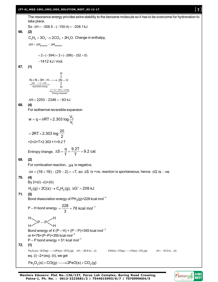#### **(PT-6)\_MGZ-1901,1902,1903\_SOLUTION\_NEET\_03-12-17** [ **7** ]

The resonance energy privides extra stability to the benzene molecule so it has to be overcome for hydronation to take place.

So 
$$
\Delta H = -358.5 - (-150.4) = -208.1 \text{ kJ}
$$

$$
66. (2)
$$

 $C_2H_4 + 3O_2 \rightarrow 2CO_2 + 2H_2O$ . Change in enthalpy,

$$
\Delta H = \Delta H_{\text{products}} - \Delta H_{\text{reactions}}
$$

$$
=2\times(-394)+2\times(-286)-(52+0)
$$

1412 kJ / mol.

**67. (1)**

H  
\n
$$
N \equiv N + 3H - H \longrightarrow 2N - H
$$
\n
$$
\xrightarrow[3 \times 436]{945} {+ 3 \times 436}
$$
\n
$$
+ \qquad \qquad H
$$
\n
$$
\xrightarrow[2 \times (3 \times 391) = 2346]{}
$$
\nEnergy released

 $\Delta H = 2253 - 2346 = -93$  kJ

**68. (4)**

For isothermal reversible expansion

$$
w = q = nRT \times 2.303 \log \frac{V_2}{V_1}
$$

$$
= 2RT \times 2.303 \log \frac{20}{2}
$$
  
=2×2×T×2.303×1=9.2 T

Entropy change, 
$$
\Delta S = \frac{q}{T} = \frac{9.2T}{T} = 9.2
$$
 cal.

#### **69. (2)**

For combustion reaction,  $\Delta H$  is negative,

 $\Delta n = (16 + 18) - (25 - 2) = +7$ , so  $\Delta S$  is +ve, reaction is spontaneous, hence  $\Delta G$  is -ve.

## **70. (4)**

$$
By 2 \times (ii) - (i) + (iii)
$$

 $H_2(g)$  + 2C(s)  $\rightarrow$  C<sub>2</sub>H<sub>2</sub>(g),  $\Delta G^{\circ}$  = 209 kJ

# **71. (2)**

Bond dissociation energy of PH $_3$ (g)=228 kcal mol $^{-1}$ 

P – H bond energy = 
$$
\frac{228}{3}
$$
 = 76 kcal mol<sup>-1</sup>  
H

P – P H

$$
H \sim H
$$
  
Bond energy of 4 (P – H) + (P – P)=355 kcal mol<sup>-1</sup>

or  $4 \times 76 + (P-P) = 355$  kcal mol<sup>-1</sup>

$$
P - P
$$
 bond energy = 51 kcal mol<sup>-1</sup>

$$
72. (1)
$$

 $\mathsf{Fe}_2\mathrm{O}_3(\mathsf{s}) + 3\mathrm{CO}(\mathsf{g})$ — $\longrightarrow$ 2Fe $(\mathsf{s}) + 3\mathrm{CO}_2(\mathsf{g})$ ;  $\Delta \mathsf{H} = -26.8$  kJ ...(ii)  $\qquad \qquad \mathsf{Fe}(\mathsf{s}) + \mathrm{CO}(\mathsf{g})$ — $\rightarrow$ Fe $(\mathsf{s}) + \mathrm{CO}_2(\mathsf{g})$ ;  $\qquad \Delta \mathsf{H} = -16.5$  kJ ...(ii) eq.  $(i)$  –2×(eq).  $(ii)$ , we get

$$
\mathsf{Fe}_2\mathsf{O}_3(s) + \mathsf{CO}(g) \longrightarrow 2\mathsf{FeO}(s) + \mathsf{CO}_2(g)
$$